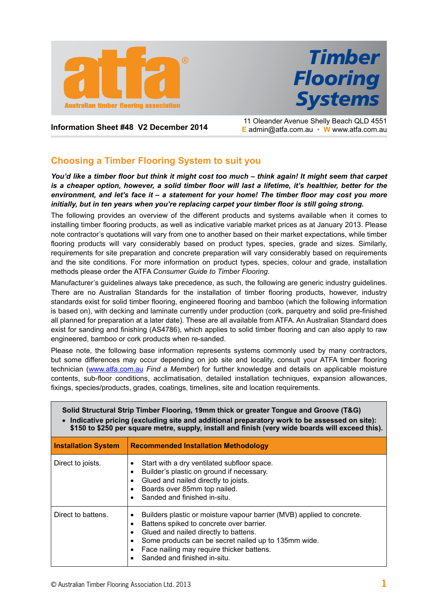



**Information Sheet #48 V2 December 2014** 11 Oleander Avenue Shelly Beach QLD 4551 **E** admin@atfa.com.au • **W** www.atfa.com.au

# **Choosing a Timber Flooring System to suit you**

*You'd like a timber floor but think it might cost too much – think again! It might seem that carpet is a cheaper option, however, a solid timber floor will last a lifetime, it's healthier, better for the environment, and let's face it – a statement for your home! The timber floor may cost you more initially, but in ten years when you're replacing carpet your timber floor is still going strong.*

The following provides an overview of the different products and systems available when it comes to installing timber flooring products, as well as indicative variable market prices as at January 2013. Please note contractor's quotations will vary from one to another based on their market expectations, while timber flooring products will vary considerably based on product types, species, grade and sizes. Similarly, requirements for site preparation and concrete preparation will vary considerably based on requirements and the site conditions. For more information on product types, species, colour and grade, installation methods please order the ATFA *Consumer Guide to Timber Flooring*.

Manufacturer's guidelines always take precedence, as such, the following are generic industry guidelines. There are no Australian Standards for the installation of timber flooring products, however, industry standards exist for solid timber flooring, engineered flooring and bamboo (which the following information is based on), with decking and laminate currently under production (cork, parquetry and solid pre-finished all planned for preparation at a later date). These are all available from ATFA. An Australian Standard does exist for sanding and finishing (AS4786), which applies to solid timber flooring and can also apply to raw engineered, bamboo or cork products when re-sanded.

Please note, the following base information represents systems commonly used by many contractors, but some differences may occur depending on job site and locality, consult your ATFA timber flooring technician ([www.atfa.com.au](http://www.atfa.com.au) *Find a Member*) for further knowledge and details on applicable moisture contents, sub-floor conditions, acclimatisation, detailed installation techniques, expansion allowances, fixings, species/products, grades, coatings, timelines, site and location requirements.

| Solid Structural Strip Timber Flooring, 19mm thick or greater Tongue and Groove (T&G)<br>• Indicative pricing (excluding site and additional preparatory work to be assessed on site):<br>\$150 to \$250 per square metre, supply, install and finish (very wide boards will exceed this). |                                                                                                                                                                                                                                                                                                                         |
|--------------------------------------------------------------------------------------------------------------------------------------------------------------------------------------------------------------------------------------------------------------------------------------------|-------------------------------------------------------------------------------------------------------------------------------------------------------------------------------------------------------------------------------------------------------------------------------------------------------------------------|
| <b>Installation System</b>                                                                                                                                                                                                                                                                 | <b>Recommended Installation Methodology</b>                                                                                                                                                                                                                                                                             |
| Direct to joists.                                                                                                                                                                                                                                                                          | Start with a dry ventilated subfloor space.<br>Builder's plastic on ground if necessary.<br>Glued and nailed directly to joists.<br>Boards over 85mm top nailed.<br>Sanded and finished in-situ.                                                                                                                        |
| Direct to battens.                                                                                                                                                                                                                                                                         | Builders plastic or moisture vapour barrier (MVB) applied to concrete.<br>٠<br>Battens spiked to concrete over barrier.<br>٠<br>Glued and nailed directly to battens.<br>$\bullet$<br>Some products can be secret nailed up to 135mm wide.<br>Face nailing may require thicker battens.<br>Sanded and finished in-situ. |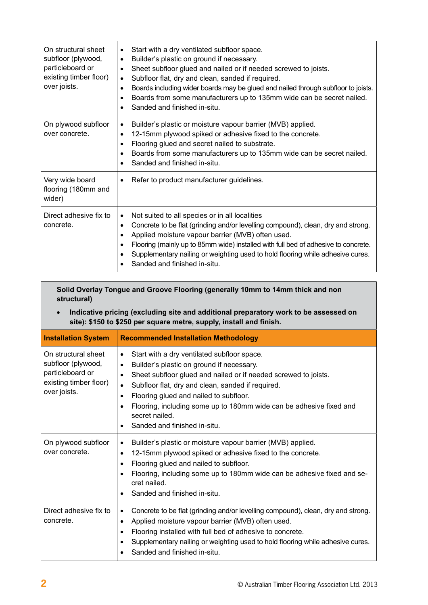| On structural sheet<br>subfloor (plywood,<br>particleboard or<br>existing timber floor)<br>over joists. | Start with a dry ventilated subfloor space.<br>$\bullet$<br>Builder's plastic on ground if necessary.<br>$\bullet$<br>Sheet subfloor glued and nailed or if needed screwed to joists.<br>$\bullet$<br>Subfloor flat, dry and clean, sanded if required.<br>$\bullet$<br>Boards including wider boards may be glued and nailed through subfloor to joists.<br>$\bullet$<br>Boards from some manufacturers up to 135mm wide can be secret nailed.<br>$\bullet$<br>Sanded and finished in-situ.<br>$\bullet$ |
|---------------------------------------------------------------------------------------------------------|-----------------------------------------------------------------------------------------------------------------------------------------------------------------------------------------------------------------------------------------------------------------------------------------------------------------------------------------------------------------------------------------------------------------------------------------------------------------------------------------------------------|
| On plywood subfloor<br>over concrete.                                                                   | Builder's plastic or moisture vapour barrier (MVB) applied.<br>$\bullet$<br>12-15mm plywood spiked or adhesive fixed to the concrete.<br>$\bullet$<br>Flooring glued and secret nailed to substrate.<br>$\bullet$<br>Boards from some manufacturers up to 135mm wide can be secret nailed.<br>$\bullet$<br>Sanded and finished in-situ.<br>$\bullet$                                                                                                                                                      |
| Very wide board<br>flooring (180mm and<br>wider)                                                        | Refer to product manufacturer guidelines.<br>$\bullet$                                                                                                                                                                                                                                                                                                                                                                                                                                                    |
| Direct adhesive fix to<br>concrete.                                                                     | Not suited to all species or in all localities<br>$\bullet$<br>Concrete to be flat (grinding and/or levelling compound), clean, dry and strong.<br>$\bullet$<br>Applied moisture vapour barrier (MVB) often used.<br>$\bullet$<br>Flooring (mainly up to 85mm wide) installed with full bed of adhesive to concrete.<br>$\bullet$<br>Supplementary nailing or weighting used to hold flooring while adhesive cures.<br>$\bullet$<br>Sanded and finished in-situ.                                          |

**Solid Overlay Tongue and Groove Flooring (generally 10mm to 14mm thick and non structural)**

• **Indicative pricing (excluding site and additional preparatory work to be assessed on site): \$150 to \$250 per square metre, supply, install and finish.**

| <b>Installation System</b>                                                                              | <b>Recommended Installation Methodology</b>                                                                                                                                                                                                                                                                                                                                                                                                       |
|---------------------------------------------------------------------------------------------------------|---------------------------------------------------------------------------------------------------------------------------------------------------------------------------------------------------------------------------------------------------------------------------------------------------------------------------------------------------------------------------------------------------------------------------------------------------|
| On structural sheet<br>subfloor (plywood,<br>particleboard or<br>existing timber floor)<br>over joists. | Start with a dry ventilated subfloor space.<br>٠<br>Builder's plastic on ground if necessary.<br>$\bullet$<br>Sheet subfloor glued and nailed or if needed screwed to joists.<br>$\bullet$<br>Subfloor flat, dry and clean, sanded if required.<br>$\bullet$<br>Flooring glued and nailed to subfloor.<br>٠<br>Flooring, including some up to 180mm wide can be adhesive fixed and<br>$\bullet$<br>secret nailed.<br>Sanded and finished in-situ. |
| On plywood subfloor<br>over concrete.                                                                   | Builder's plastic or moisture vapour barrier (MVB) applied.<br>$\bullet$<br>12-15mm plywood spiked or adhesive fixed to the concrete.<br>$\bullet$<br>Flooring glued and nailed to subfloor.<br>٠<br>Flooring, including some up to 180mm wide can be adhesive fixed and se-<br>$\bullet$<br>cret nailed.<br>Sanded and finished in-situ.                                                                                                         |
| Direct adhesive fix to<br>concrete.                                                                     | Concrete to be flat (grinding and/or levelling compound), clean, dry and strong.<br>$\bullet$<br>Applied moisture vapour barrier (MVB) often used.<br>٠<br>Flooring installed with full bed of adhesive to concrete.<br>$\bullet$<br>Supplementary nailing or weighting used to hold flooring while adhesive cures.<br>$\bullet$<br>Sanded and finished in-situ.                                                                                  |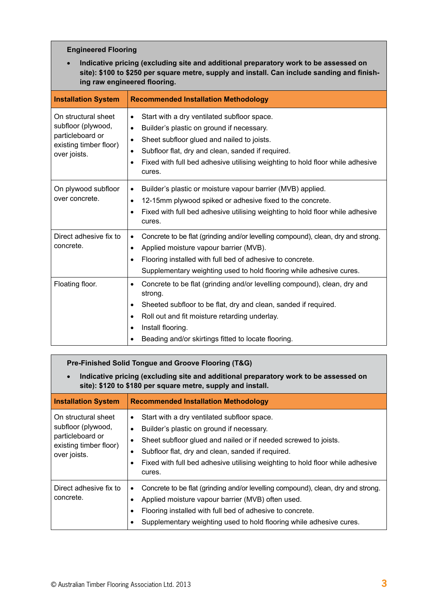# **Engineered Flooring**

• **Indicative pricing (excluding site and additional preparatory work to be assessed on site): \$100 to \$250 per square metre, supply and install. Can include sanding and finishing raw engineered flooring.**

| <b>Installation System</b>                                                                              | <b>Recommended Installation Methodology</b>                                                                                                                                                                                                                                                                                                             |
|---------------------------------------------------------------------------------------------------------|---------------------------------------------------------------------------------------------------------------------------------------------------------------------------------------------------------------------------------------------------------------------------------------------------------------------------------------------------------|
| On structural sheet<br>subfloor (plywood,<br>particleboard or<br>existing timber floor)<br>over joists. | Start with a dry ventilated subfloor space.<br>$\bullet$<br>Builder's plastic on ground if necessary.<br>$\bullet$<br>Sheet subfloor glued and nailed to joists.<br>$\bullet$<br>Subfloor flat, dry and clean, sanded if required.<br>$\bullet$<br>Fixed with full bed adhesive utilising weighting to hold floor while adhesive<br>$\bullet$<br>cures. |
| On plywood subfloor<br>over concrete.                                                                   | Builder's plastic or moisture vapour barrier (MVB) applied.<br>$\bullet$<br>12-15mm plywood spiked or adhesive fixed to the concrete.<br>$\bullet$<br>Fixed with full bed adhesive utilising weighting to hold floor while adhesive<br>٠<br>cures.                                                                                                      |
| Direct adhesive fix to<br>concrete.                                                                     | Concrete to be flat (grinding and/or levelling compound), clean, dry and strong.<br>$\bullet$<br>Applied moisture vapour barrier (MVB).<br>$\bullet$<br>Flooring installed with full bed of adhesive to concrete.<br>$\bullet$<br>Supplementary weighting used to hold flooring while adhesive cures.                                                   |
| Floating floor.                                                                                         | Concrete to be flat (grinding and/or levelling compound), clean, dry and<br>٠<br>strong.<br>Sheeted subfloor to be flat, dry and clean, sanded if required.<br>$\bullet$<br>Roll out and fit moisture retarding underlay.<br>$\bullet$<br>Install flooring.<br>$\bullet$<br>Beading and/or skirtings fitted to locate flooring.                         |

| Pre-Finished Solid Tongue and Groove Flooring (T&G)                                                                                                              |                                                                                                                                                                                                                                                                                                                                              |
|------------------------------------------------------------------------------------------------------------------------------------------------------------------|----------------------------------------------------------------------------------------------------------------------------------------------------------------------------------------------------------------------------------------------------------------------------------------------------------------------------------------------|
| Indicative pricing (excluding site and additional preparatory work to be assessed on<br>$\bullet$<br>site): \$120 to \$180 per square metre, supply and install. |                                                                                                                                                                                                                                                                                                                                              |
| <b>Installation System</b>                                                                                                                                       | <b>Recommended Installation Methodology</b>                                                                                                                                                                                                                                                                                                  |
| On structural sheet<br>subfloor (plywood,<br>particleboard or<br>existing timber floor)<br>over joists.                                                          | Start with a dry ventilated subfloor space.<br>٠<br>Builder's plastic on ground if necessary.<br>$\bullet$<br>Sheet subfloor glued and nailed or if needed screwed to joists.<br>٠<br>Subfloor flat, dry and clean, sanded if required.<br>٠<br>Fixed with full bed adhesive utilising weighting to hold floor while adhesive<br>٠<br>cures. |
| Direct adhesive fix to<br>concrete.                                                                                                                              | Concrete to be flat (grinding and/or levelling compound), clean, dry and strong.<br>Applied moisture vapour barrier (MVB) often used.<br>Flooring installed with full bed of adhesive to concrete.<br>٠<br>Supplementary weighting used to hold flooring while adhesive cures.                                                               |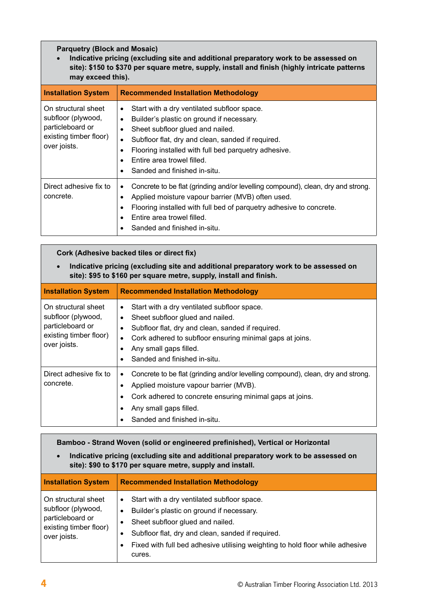# **Parquetry (Block and Mosaic)**

• **Indicative pricing (excluding site and additional preparatory work to be assessed on site): \$150 to \$370 per square metre, supply, install and finish (highly intricate patterns may exceed this).**

| <b>Installation System</b>                                                                              | <b>Recommended Installation Methodology</b>                                                                                                                                                                                                                                                                                                                                   |
|---------------------------------------------------------------------------------------------------------|-------------------------------------------------------------------------------------------------------------------------------------------------------------------------------------------------------------------------------------------------------------------------------------------------------------------------------------------------------------------------------|
| On structural sheet<br>subfloor (plywood,<br>particleboard or<br>existing timber floor)<br>over joists. | Start with a dry ventilated subfloor space.<br>$\bullet$<br>Builder's plastic on ground if necessary.<br>$\bullet$<br>Sheet subfloor glued and nailed.<br>$\bullet$<br>Subfloor flat, dry and clean, sanded if required.<br>٠<br>Flooring installed with full bed parquetry adhesive.<br>$\bullet$<br>Entire area trowel filled.<br>$\bullet$<br>Sanded and finished in-situ. |
| Direct adhesive fix to<br>concrete.                                                                     | Concrete to be flat (grinding and/or levelling compound), clean, dry and strong.<br>$\bullet$<br>Applied moisture vapour barrier (MVB) often used.<br>Flooring installed with full bed of parquetry adhesive to concrete.<br>$\bullet$<br>Entire area trowel filled.<br>Sanded and finished in-situ.                                                                          |

# **Cork (Adhesive backed tiles or direct fix)**

• **Indicative pricing (excluding site and additional preparatory work to be assessed on site): \$95 to \$160 per square metre, supply, install and finish.**

| <b>Installation System</b>                                                                              | <b>Recommended Installation Methodology</b>                                                                                                                                                                                                                                                       |
|---------------------------------------------------------------------------------------------------------|---------------------------------------------------------------------------------------------------------------------------------------------------------------------------------------------------------------------------------------------------------------------------------------------------|
| On structural sheet<br>subfloor (plywood,<br>particleboard or<br>existing timber floor)<br>over joists. | Start with a dry ventilated subfloor space.<br>$\bullet$<br>Sheet subfloor glued and nailed.<br>$\bullet$<br>Subfloor flat, dry and clean, sanded if required.<br>Cork adhered to subfloor ensuring minimal gaps at joins.<br>$\bullet$<br>Any small gaps filled.<br>Sanded and finished in-situ. |
| Direct adhesive fix to<br>concrete.                                                                     | Concrete to be flat (grinding and/or levelling compound), clean, dry and strong.<br>$\bullet$<br>Applied moisture vapour barrier (MVB).<br>Cork adhered to concrete ensuring minimal gaps at joins.<br>Any small gaps filled.<br>Sanded and finished in-situ.                                     |

## **Bamboo - Strand Woven (solid or engineered prefinished), Vertical or Horizontal**

• **Indicative pricing (excluding site and additional preparatory work to be assessed on site): \$90 to \$170 per square metre, supply and install.**

| <b>Installation System</b>                                                                              | <b>Recommended Installation Methodology</b>                                                                                                                                                                                                                                                            |
|---------------------------------------------------------------------------------------------------------|--------------------------------------------------------------------------------------------------------------------------------------------------------------------------------------------------------------------------------------------------------------------------------------------------------|
| On structural sheet<br>subfloor (plywood,<br>particleboard or<br>existing timber floor)<br>over joists. | Start with a dry ventilated subfloor space.<br>$\bullet$<br>Builder's plastic on ground if necessary.<br>$\bullet$<br>Sheet subfloor glued and nailed.<br>Subfloor flat, dry and clean, sanded if required.<br>Fixed with full bed adhesive utilising weighting to hold floor while adhesive<br>cures. |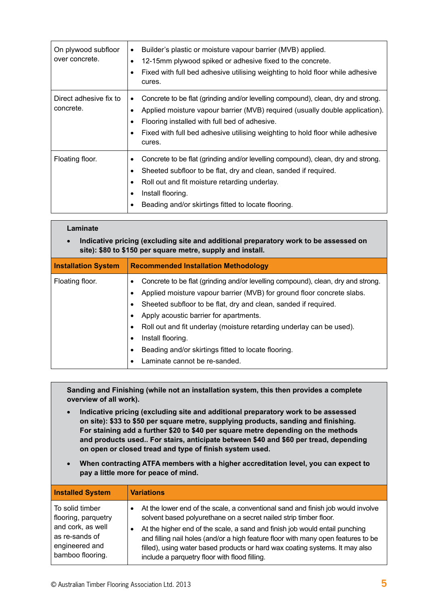| On plywood subfloor<br>over concrete. | Builder's plastic or moisture vapour barrier (MVB) applied.<br>$\bullet$<br>12-15 mm plywood spiked or adhesive fixed to the concrete.<br>$\bullet$<br>Fixed with full bed adhesive utilising weighting to hold floor while adhesive<br>cures.                                                               |
|---------------------------------------|--------------------------------------------------------------------------------------------------------------------------------------------------------------------------------------------------------------------------------------------------------------------------------------------------------------|
| Direct adhesive fix to<br>concrete.   | Concrete to be flat (grinding and/or levelling compound), clean, dry and strong.<br>Applied moisture vapour barrier (MVB) required (usually double application).<br>Flooring installed with full bed of adhesive.<br>Fixed with full bed adhesive utilising weighting to hold floor while adhesive<br>cures. |
| Floating floor.                       | Concrete to be flat (grinding and/or levelling compound), clean, dry and strong.<br>Sheeted subfloor to be flat, dry and clean, sanded if required.<br>Roll out and fit moisture retarding underlay.<br>٠<br>Install flooring.<br>$\bullet$<br>Beading and/or skirtings fitted to locate flooring.           |

| Laminate                                                                                                                                                        |                                                                                                                                                                                                                                                                                                                                                                                                                                                                   |
|-----------------------------------------------------------------------------------------------------------------------------------------------------------------|-------------------------------------------------------------------------------------------------------------------------------------------------------------------------------------------------------------------------------------------------------------------------------------------------------------------------------------------------------------------------------------------------------------------------------------------------------------------|
| Indicative pricing (excluding site and additional preparatory work to be assessed on<br>$\bullet$<br>site): \$80 to \$150 per square metre, supply and install. |                                                                                                                                                                                                                                                                                                                                                                                                                                                                   |
| <b>Installation System</b>                                                                                                                                      | <b>Recommended Installation Methodology</b>                                                                                                                                                                                                                                                                                                                                                                                                                       |
| Floating floor.                                                                                                                                                 | Concrete to be flat (grinding and/or levelling compound), clean, dry and strong.<br>Applied moisture vapour barrier (MVB) for ground floor concrete slabs.<br>Sheeted subfloor to be flat, dry and clean, sanded if required.<br>Apply acoustic barrier for apartments.<br>Roll out and fit underlay (moisture retarding underlay can be used).<br>Install flooring.<br>٠<br>Beading and/or skirtings fitted to locate flooring.<br>Laminate cannot be re-sanded. |

**Sanding and Finishing (while not an installation system, this then provides a complete overview of all work).**

- • **Indicative pricing (excluding site and additional preparatory work to be assessed on site): \$33 to \$50 per square metre, supplying products, sanding and finishing. For staining add a further \$20 to \$40 per square metre depending on the methods and products used.. For stairs, anticipate between \$40 and \$60 per tread, depending on open or closed tread and type of finish system used.**
- When contracting ATFA members with a higher accreditation level, you can expect to **pay a little more for peace of mind.**

| <b>Installed System</b>                                                                                             | <b>Variations</b>                                                                                                                                                                                                                                                                                                                                                                                                                                         |
|---------------------------------------------------------------------------------------------------------------------|-----------------------------------------------------------------------------------------------------------------------------------------------------------------------------------------------------------------------------------------------------------------------------------------------------------------------------------------------------------------------------------------------------------------------------------------------------------|
| To solid timber<br>flooring, parquetry<br>and cork, as well<br>as re-sands of<br>engineered and<br>bamboo flooring. | At the lower end of the scale, a conventional sand and finish job would involve<br>solvent based polyurethane on a secret nailed strip timber floor.<br>At the higher end of the scale, a sand and finish job would entail punching<br>and filling nail holes (and/or a high feature floor with many open features to be<br>filled), using water based products or hard wax coating systems. It may also<br>include a parquetry floor with flood filling. |